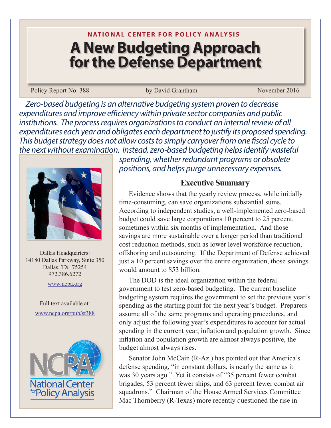# **N ATIONAL CENTER FOR POLICY ANALYSIS A New Budgeting Approach for the Defense Department**

Policy Report No. 388 by David Grantham November 2016

*Zero-based budgeting is an alternative budgeting system proven to decrease expenditures and improve efficiency within private sector companies and public institutions. The process requires organizations to conduct an internal review of all expenditures each year and obligates each department to justify its proposed spending. This budget strategy does not allow costs to simply carryover from one fiscal cycle to the next without examination. Instead, zero-based budgeting helps identify wasteful* 



Dallas Headquarters: 14180 Dallas Parkway, Suite 350 Dallas, TX 75254 972.386.6272

www.ncpa.org

Full text available at: www.ncpa.org/pub/st388



*spending, whether redundant programs or obsolete positions, and helps purge unnecessary expenses.* 

# **Executive Summary**

Evidence shows that the yearly review process, while initially time-consuming, can save organizations substantial sums. According to independent studies, a well-implemented zero-based budget could save large corporations 10 percent to 25 percent, sometimes within six months of implementation. And those savings are more sustainable over a longer period than traditional cost reduction methods, such as lower level workforce reduction, offshoring and outsourcing. If the Department of Defense achieved just a 10 percent savings over the entire organization, those savings would amount to \$53 billion.

The DOD is the ideal organization within the federal government to test zero-based budgeting. The current baseline budgeting system requires the government to set the previous year's spending as the starting point for the next year's budget. Preparers assume all of the same programs and operating procedures, and only adjust the following year's expenditures to account for actual spending in the current year, inflation and population growth. Since inflation and population growth are almost always positive, the budget almost always rises.

Senator John McCain (R-Az.) has pointed out that America's defense spending, "in constant dollars, is nearly the same as it was 30 years ago." Yet it consists of "35 percent fewer combat brigades, 53 percent fewer ships, and 63 percent fewer combat air squadrons." Chairman of the House Armed Services Committee Mac Thornberry (R-Texas) more recently questioned the rise in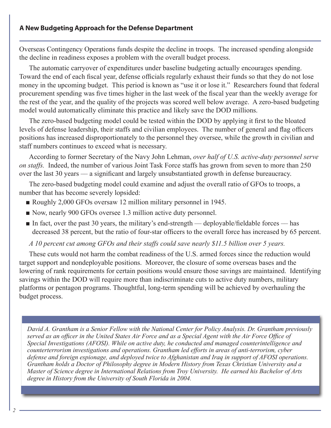Overseas Contingency Operations funds despite the decline in troops. The increased spending alongside the decline in readiness exposes a problem with the overall budget process.

The automatic carryover of expenditures under baseline budgeting actually encourages spending. Toward the end of each fiscal year, defense officials regularly exhaust their funds so that they do not lose money in the upcoming budget. This period is known as "use it or lose it." Researchers found that federal procurement spending was five times higher in the last week of the fiscal year than the weekly average for the rest of the year, and the quality of the projects was scored well below average. A zero-based budgeting model would automatically eliminate this practice and likely save the DOD millions.

The zero-based budgeting model could be tested within the DOD by applying it first to the bloated levels of defense leadership, their staffs and civilian employees. The number of general and flag officers positions has increased disproportionately to the personnel they oversee, while the growth in civilian and staff numbers continues to exceed what is necessary.

According to former Secretary of the Navy John Lehman, *over half of U.S. active-duty personnel serve on staffs.* Indeed, the number of various Joint Task Force staffs has grown from seven to more than 250 over the last 30 years — a significant and largely unsubstantiated growth in defense bureaucracy.

The zero-based budgeting model could examine and adjust the overall ratio of GFOs to troops, a number that has become severely lopsided:

- Roughly 2,000 GFOs oversaw 12 million military personnel in 1945.
- Now, nearly 900 GFOs oversee 1.3 million active duty personnel.
- $\blacksquare$  In fact, over the past 30 years, the military's end-strength deployable/fieldable forces has decreased 38 percent, but the ratio of four-star officers to the overall force has increased by 65 percent.

*A 10 percent cut among GFOs and their staffs could save nearly \$11.5 billion over 5 years.* 

These cuts would not harm the combat readiness of the U.S. armed forces since the reduction would target support and nondeployable positions. Moreover, the closure of some overseas bases and the lowering of rank requirements for certain positions would ensure those savings are maintained. Identifying savings within the DOD will require more than indiscriminate cuts to active duty numbers, military platforms or pentagon programs. Thoughtful, long-term spending will be achieved by overhauling the budget process.

counterterforts in threstigations and operations. Gramman tea efforts in areas of anti-terrorism, cyber<br>defense and foreign espionage, and deployed twice to Afghanistan and Iraq in support of AFOSI operations. *David A. Grantham is a Senior Fellow with the National Center for Policy Analysis. Dr. Grantham previously served as an officer in the United States Air Force and as a Special Agent with the Air Force Office of Special Investigations (AFOSI). While on active duty, he conducted and managed counterintelligence and counterterrorism investigations and operations. Grantham led efforts in areas of anti-terrorism, cyber Grantham holds a Doctor of Philosophy degree in Modern History from Texas Christian University and a Master of Science degree in International Relations from Troy University. He earned his Bachelor of Arts degree in History from the University of South Florida in 2004.*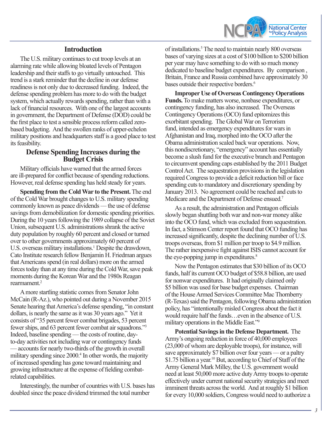

## **Introduction**

The U.S. military continues to cut troop levels at an alarming rate while allowing bloated levels of Pentagon leadership and their staffs to go virtually untouched. This trend is a stark reminder that the decline in our defense readiness is not only due to decreased funding. Indeed, the defense spending problem has more to do with the budget system, which actually rewards spending, rather than with a lack of financial resources. With one of the largest accounts in government, the Department of Defense (DOD) could be the first place to test a sensible process reform called zerobased budgeting. And the swollen ranks of upper-echelon military positions and headquarters staff is a good place to test its feasibility.

#### **Defense Spending Increases during the Budget Crisis**

Military officials have warned that the armed forces are ill-prepared for conflict because of spending reductions. However, real defense spending has held steady for years.

**Spending from the Cold War to the Present.** The end of the Cold War brought changes to U.S. military spending commonly known as peace dividends — the use of defense savings from demobilization for domestic spending priorities. During the 10 years following the 1989 collapse of the Soviet Union, subsequent U.S. administrations shrank the active duty population by roughly 60 percent and closed or turned over to other governments approximately 60 percent of U.S. overseas military installations.<sup>1</sup> Despite the drawdown, Cato Institute research fellow Benjamin H. Friedman argues that Americans spend (in real dollars) more on the armed forces today than at any time during the Cold War, save peak moments during the Korean War and the 1980s Reagan rearmament.<sup>2</sup>

A more startling statistic comes from Senator John McCain (R-Az.), who pointed out during a November 2015 Senate hearing that America's defense spending, "in constant dollars, is nearly the same as it was 30 years ago." Yet it consists of "35 percent fewer combat brigades, 53 percent fewer ships, and 63 percent fewer combat air squadrons."3 Indeed, baseline spending — the costs of routine, dayto-day activities not including war or contingency funds — accounts for nearly two-thirds of the growth in overall military spending since 2000.<sup>4</sup> In other words, the majority of increased spending has gone toward maintaining and growing infrastructure at the expense of fielding combatrelated capabilities.

Interestingly, the number of countries with U.S. bases has doubled since the peace dividend trimmed the total number

of installations.<sup>5</sup> The need to maintain nearly 800 overseas bases of varying sizes at a cost of \$100 billion to \$200 billion per year may have something to do with so much money dedicated to baseline budget expenditures. By comparison , Britain, France and Russia combined have approximately 30 bases outside their respective borders.<sup>6</sup>

**Improper Use of Overseas Contingency Operations Funds.** To make matters worse, nonbase expenditures, or contingency funding, has also increased. The Overseas Contingency Operations (OCO) fund epitomizes this exorbitant spending. The Global War on Terrorism fund, intended as emergency expenditures for wars in Afghanistan and Iraq, morphed into the OCO after the Obama administration scaled back war operations. Now, this nondiscretionary, "emergency" account has essentially become a slush fund for the executive branch and Pentagon to circumvent spending caps established by the 2011 Budget Control Act. The sequestration provisions in the legislation required Congress to provide a deficit reduction bill or face spending cuts to mandatory and discretionary spending by January 2013. No agreement could be reached and cuts to Medicare and the Department of Defense ensued.<sup>7</sup>

As a result, the administration and Pentagon officials slowly began shuttling both war and non-war money alike into the OCO fund, which was excluded from sequestration. In fact, a Stimson Center report found that OCO funding has increased significantly, despite the declining number of U.S. troops overseas, from \$1 million per troop to \$4.9 million. The rather inexpensive fight against ISIS cannot account for the eye-popping jump in expenditures.<sup>8</sup>

Now the Pentagon estimates that \$30 billion of its OCO funds, half its current OCO budget of \$58.8 billion, are used for nonwar expenditures. It had originally claimed only \$5 billion was used for base budget expenses. Chairman of the House Armed Services Committee Mac Thornberry (R-Texas) said the Pentagon, following Obama administration policy, has "intentionally misled Congress about the fact it would require half the funds…even in the absence of U.S. military operations in the Middle East."<sup>9</sup>

**Potential Savings in the Defense Department.** The Army's ongoing reduction in force of 40,000 employees (23,000 of whom are deployable troops), for instance, will save approximately \$7 billion over four years — or a paltry \$1.75 billion a year.<sup>10</sup> But, according to Chief of Staff of the Army General Mark Milley, the U.S. government would need at least 50,000 more active duty Army troops to operate effectively under current national security strategies and meet imminent threats across the world. And at roughly \$1 billion for every 10,000 soldiers, Congress would need to authorize a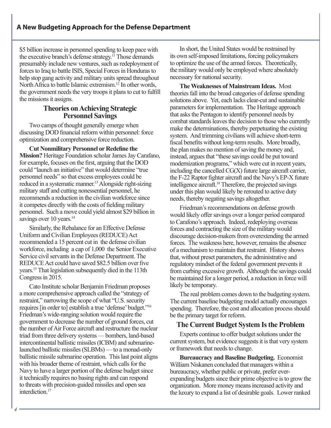\$5 billion increase in personnel spending to keep pace with the executive branch's defense strategy.11 Those demands presumably include new ventures, such as redeployment of forces to Iraq to battle ISIS, Special Forces in Honduras to help stop gang activity and military units spread throughout North Africa to battle Islamic extremism.<sup>12</sup> In other words, the government needs the very troops it plans to cut to fulfill the missions it assigns.

## **Theories on Achieving Strategic Personnel Savings**

Two camps of thought generally emerge when discussing DOD financial reform within personnel: force optimization and comprehensive force reduction.

**Cut Nonmilitary Personnel or Redefine the Mission?** Heritage Foundation scholar James Jay Carafano, for example, focuses on the first, arguing that the DOD could "launch an initiative" that would determine "true personnel needs" so that excess employees could be reduced in a systematic manner.13 Alongside right-sizing military staff and cutting nonessential personnel, he recommends a reduction in the civilian workforce since it competes directly with the costs of fielding military personnel. Such a move could yield almost \$29 billion in savings over 10 years.<sup>14</sup>

Similarly, the Rebalance for an Effective Defense Uniform and Civilian Employees (REDUCE) Act recommended a 15 percent cut in the defense civilian workforce, including a cap of 1,000 the Senior Executive Service civil servants in the Defense Department. The REDUCE Act could have saved \$82.5 billion over five years.15 That legislation subsequently died in the 113th Congress in 2015.

Cato Institute scholar Benjamin Friedman proposes a more comprehensive approach called the "strategy of restraint," narrowing the scope of what "U.S. security requires [in order to] establish a true 'defense' budget."16 Friedman's wide-ranging solution would require the government to decrease the number of ground forces, cut the number of Air Force aircraft and restructure the nuclear triad from three delivery systems — bombers, land-based intercontinental ballistic missiles (ICBM) and submarinelaunched ballistic missiles (SLBMs) — to a monad-only ballistic missile submarine operation. This last point aligns with his broader theme of restraint, which calls for the Navy to have a larger portion of the defense budget since it technically requires no basing rights and can respond to threats with precision-guided missiles and open sea interdiction.<sup>17</sup>

In short, the United States would be restrained by its own self-imposed limitations, forcing policymakers to optimize the use of the armed forces. Theoretically, the military would only be employed where absolutely necessary for national security.

**The Weaknesses of Mainstream Ideas.** Most theories fall into the broad categories of defense spending solutions above. Yet, each lacks clear-cut and sustainable parameters for implementation. The Heritage approach that asks the Pentagon to identify personnel needs by combat standards leaves the decision to those who currently make the determinations, thereby perpetuating the existing system. And trimming civilians will achieve short-term fiscal benefits without long-term results. More broadly, the plan makes no mention of saving the money and, instead, argues that "these savings could be put toward modernization programs," which were cut in recent years, including the cancelled CG(X) future large aircraft carrier, the F-22 Raptor fighter aircraft and the Navy's EP-X future intelligence aircraft.<sup>18</sup> Therefore, the projected savings under this plan would likely be rerouted to active duty needs, thereby negating savings altogether.

Friedman's recommendations on defense growth would likely offer savings over a longer period compared to Carafono's approach. Indeed, redeploying overseas forces and contracting the size of the military would discourage decision-makers from overextending the armed forces. The weakness here, however, remains the absence of a mechanism to maintain that restraint. History shows that, without preset parameters, the administrative and regulatory mindset of the federal government prevents it from curbing excessive growth. Although the savings could be maintained for a longer period, a reduction in force will likely be temporary.

The real problem comes down to the budgeting system. The current baseline budgeting model actually encourages spending. Therefore, the cost and allocation process should be the primary target for reform.

#### **The Current Budget System Is the Problem**

Experts continue to offer budget solutions under the current system, but evidence suggests it is that very system or framework that needs to change.

**Bureaucracy and Baseline Budgeting.** Economist William Niskanen concluded that managers within a bureaucracy, whether public or private, prefer everexpanding budgets since their prime objective is to grow the organization. More money means increased activity and the luxury to expand a list of desirable goals. Lower ranked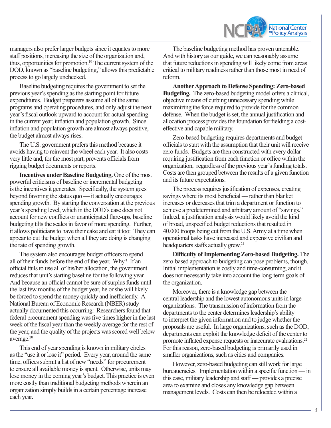

managers also prefer larger budgets since it equates to more staff positions, increasing the size of the organization and, thus, opportunities for promotion.19 The current system of the DOD, known as "baseline budgeting," allows this predictable process to go largely unchecked.

Baseline budgeting requires the government to set the previous year's spending as the starting point for future expenditures. Budget preparers assume all of the same programs and operating procedures, and only adjust the next year's fiscal outlook upward to account for actual spending in the current year, inflation and population growth. Since inflation and population growth are almost always positive, the budget almost always rises.

The U.S. government prefers this method because it avoids having to reinvent the wheel each year. It also costs very little and, for the most part, prevents officials from rigging budget documents or reports.

**Incentives under Baseline Budgeting.** One of the most powerful criticisms of baseline or incremental budgeting is the incentives it generates. Specifically, the system goes beyond favoring the status quo — it actually encourages spending growth. By starting the conversation at the previous year's spending level, which in the DOD's case does not account for new conflicts or unanticipated flare-ups, baseline budgeting tilts the scales in favor of more spending. Further, it allows politicians to have their cake and eat it too: They can appear to cut the budget when all they are doing is changing the rate of spending growth.

The system also encourages budget officers to spend all of their funds before the end of the year. Why? If an official fails to use all of his/her allocation, the government reduces that unit's starting baseline for the following year. And because an official cannot be sure of surplus funds until the last few months of the budget year, he or she will likely be forced to spend the money quickly and inefficiently. A National Bureau of Economic Research (NBER) study actually documented this occurring: Researchers found that federal procurement spending was five times higher in the last week of the fiscal year than the weekly average for the rest of the year, and the quality of the projects was scored well below average.<sup>20</sup>

This end of year spending is known in military circles as the "use it or lose it" period. Every year, around the same time, offices submit a list of new "needs" for procurement to ensure all available money is spent. Otherwise, units may lose money in the coming year's budget. This practice is even more costly than traditional budgeting methods wherein an organization simply builds in a certain percentage increase each year.

The baseline budgeting method has proven untenable. And with history as our guide, we can reasonably assume that future reductions in spending will likely come from areas critical to military readiness rather than those most in need of reform.

**Another Approach to Defense Spending: Zero-based Budgeting.** The zero-based budgeting model offers a clinical, objective means of curbing unnecessary spending while maximizing the force required to provide for the common defense. When the budget is set, the annual justification and allocation process provides the foundation for fielding a costeffective and capable military.

Zero-based budgeting requires departments and budget officials to start with the assumption that their unit will receive zero funds. Budgets are then constructed with every dollar requiring justification from each function or office within the organization, regardless of the previous year's funding totals. Costs are then grouped between the results of a given function and its future expectations.

The process requires justification of expenses, creating savings where its most beneficial — rather than blanket increases or decreases that trim a department or function to achieve a predetermined and arbitrary amount of "savings." Indeed, a justification analysis would likely avoid the kind of broad, unspecified budget reductions that resulted in 40,000 troops being cut from the U.S. Army at a time when operational tasks have increased and expensive civilian and headquarters staffs actually grew.<sup>21</sup>

**Difficulty of Implementing Zero-based Budgeting.** The zero-based approach to budgeting can pose problems, though. Initial implementation is costly and time-consuming, and it does not necessarily take into account the long-term goals of the organization.

Moreover, there is a knowledge gap between the central leadership and the lowest autonomous units in large organizations. The transmission of information from the departments to the center determines leadership's ability to interpret the given information and to judge whether the proposals are useful. In large organizations, such as the DOD, departments can exploit the knowledge deficit of the center to promote inflated expense requests or inaccurate evaluations.<sup>22</sup> For this reason, zero-based budgeting is primarily used in smaller organizations, such as cities and companies.

However, zero-based budgeting can still work for large bureaucracies. Implementation within a specific function — in this case, military leadership and staff –‒ provides a precise area to examine and closes any knowledge gap between management levels. Costs can then be relocated within a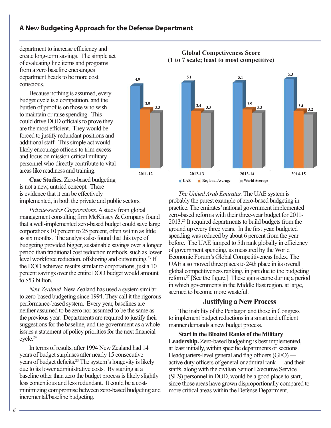department to increase efficiency and create long-term savings. The simple act of evaluating line items and programs from a zero baseline encourages department heads to be more cost conscious.

Because nothing is assumed, every budget cycle is a competition, and the burden of proof is on those who wish to maintain or raise spending. This could drive DOD officials to prove they are the most efficient. They would be forced to justify redundant positions and additional staff. This simple act would likely encourage officers to trim excess and focus on mission-critical military personnel who directly contribute to vital areas like readiness and training.

**Case Studies.** Zero-based budgeting is not a new, untried concept. There is evidence that it can be effectively implemented, in both the private and public sectors.

*Private-sector Corporations.* A study from global management consulting firm McKinsey & Company found that a well-implemented zero-based budget could save large corporations 10 percent to 25 percent, often within as little as six months. The analysis also found that this type of budgeting provided bigger, sustainable savings over a longer period than traditional cost reduction methods, such as lower level workforce reduction, offshoring and outsourcing.23 If the DOD achieved results similar to corporations, just a 10 percent savings over the entire DOD budget would amount to \$53 billion.

*New Zealand.* New Zealand has used a system similar to zero-based budgeting since 1994. They call it the rigorous performance-based system. Every year, baselines are neither assumed to be zero nor assumed to be the same as the previous year. Departments are required to justify their suggestions for the baseline, and the government as a whole issues a statement of policy priorities for the next financial cycle.24

In terms of results, after 1994 New Zealand had 14 years of budget surpluses after nearly 15 consecutive years of budget deficits.25 The system's longevity is likely due to its lower administrative costs. By starting at a baseline other than zero the budget process is likely slightly less contentious and less redundant. It could be a costminimizing compromise between zero-based budgeting and incremental/baseline budgeting.



*The United Arab Emirates.* The UAE system is probably the purest example of zero-based budgeting in practice. The emirates' national government implemented zero-based reforms with their three-year budget for 2011- 2013.26 It required departments to build budgets from the ground up every three years. In the first year, budgeted spending was reduced by about 6 percent from the year before. The UAE jumped to 5th rank globally in efficiency of government spending, as measured by the World Economic Forum's Global Competitiveness Index. The UAE also moved three places to 24th place in its overall global competitiveness ranking, in part due to the budgeting reform.27 [See the figure.] These gains came during a period in which governments in the Middle East region, at large, seemed to become more wasteful.

#### **Justifying a New Process**

The inability of the Pentagon and those in Congress to implement budget reductions in a smart and efficient manner demands a new budget process.

**Start in the Bloated Ranks of the Military Leadership.** Zero-based budgeting is best implemented, at least initially, within specific departments or sections. Headquarters-level general and flag officers (GFO) active duty officers of general or admiral rank — and their staffs, along with the civilian Senior Executive Service (SES) personnel in DOD, would be a good place to start, since those areas have grown disproportionally compared to more critical areas within the Defense Department.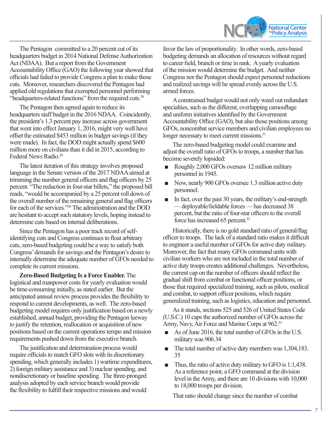

The Pentagon committed to a 20 percent cut of its headquarters budget in 2014 National Defense Authorization Act (NDAA). But a report from the Government Accountability Office (GAO) the following year showed that officials had failed to provide Congress a plan to make those cuts. Moreover, researchers discovered the Pentagon had applied old regulations that exempted personnel performing "headquarters-related functions" from the required cuts.<sup>28</sup>

The Pentagon then agreed again to reduce its headquarters staff budget in the 2016 NDAA. Coincidently, the president's 1.3 percent pay increase across government that went into effect January 1, 2016, might very well have offset the estimated \$453 million in budget savings (if they were made). In fact, the DOD might actually spend \$600 million more on civilians than it did in 2015, according to Federal News Radio.<sup>29</sup>

The latest iteration of this strategy involves proposed language in the Senate version of the 2017 NDAA aimed at trimming the number general officers and flag officers by 25 percent. "The reduction in four-star billets," the proposed bill reads, "would be accompanied by a 25 percent roll down of the overall number of the remaining general and flag officers for each of the services."30 The administration and the DOD are hesitant to accept such statutory levels, hoping instead to determine cuts based on internal deliberations.

Since the Pentagon has a poor track record of selfidentifying cuts and Congress continues to float arbitrary cuts, zero-based budgeting could be a way to satisfy both Congress' demands for savings and the Pentagon's desire to internally determine the adequate number of GFOs needed to complete its current missions.

**Zero-Based Budgeting Is a Force Enabler.** The logistical and manpower costs for yearly evaluation would be time-consuming initially, as stated earlier. But the anticipated annual review process provides the flexibility to respond to current developments, as well. The zero-based budgeting model requires only justification based on a newly established, annual budget, providing the Pentagon leeway to justify the retention, reallocation or acquisition of new positions based on the current operations tempo and mission requirements pushed down from the executive branch.

The justification and determination process would require officials to match GFO slots with its discretionary spending, which generally includes 1) wartime expenditures, 2) foreign military assistance and 3) nuclear spending, and nondiscretionary or baseline spending. The three-pronged analysis adopted by each service branch would provide the flexibility to fulfill their respective missions and would

favor the law of proportionality. In other words, zero-based budgeting demands an allocation of resources without regard to career field, branch or time in rank. A yearly evaluation of the mission would determine the budget. And neither Congress nor the Pentagon should expect personnel reductions and realized savings will be spread evenly across the U.S. armed forces.

A constrained budget would not only weed out redundant specialties, such as the different, overlapping camouflage and uniform initiatives identified by the Government Accountability Office (GAO), but also those positions among GFOs, noncombat service members and civilian employees no longer necessary to meet current missions.<sup>31</sup>

The zero-based budgeting model could examine and adjust the overall ratio of GFOs to troops, a number that has become severely lopsided:

- Roughly 2,000 GFOs oversaw 12 million military personnel in 1945.
- Now, nearly 900 GFOs oversee 1.3 million active duty personnel.
- In fact, over the past 30 years, the military's end-strength — deployable/fieldable forces — has decreased 38 percent, but the ratio of four-star officers to the overall force has increased 65 percent.32

Historically, there is no gold standard ratio of general/flag officer to troops. The lack of a standard ratio makes it difficult to engineer a useful number of GFOs for active duty military. Moreover, the fact that many GFOs command units with civilian workers who are not included in the total number of active duty troops creates additional challenges. Nevertheless, the current cap on the number of officers should reflect the gradual shift from combat or functional officer positions, or those that required specialized training, such as pilots, medical and combat, to support officer positions, which require generalized training, such as logistics, education and personnel.

As it stands, sections 525 and 526 of United States Code (U.S.C.) 10 caps the authorized number of GFOs across the Army, Navy, Air Force and Marine Corps at 962.33

- As of June 2016, the total number of GFOs in the U.S. military was 906.34
- The total number of active duty members was 1,304,183. 35
- Thus, the ratio of active duty military to GFO is 1:1,438. As a reference point, a GFO command at the division level in the Army, and there are 10 divisions with 10,000 to 18,000 troops per division.

That ratio should change since the number of combat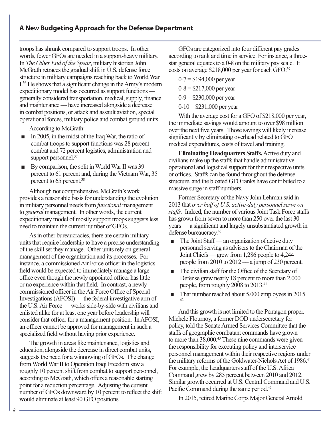troops has shrunk compared to support troops. In other words, fewer GFOs are needed in a support-heavy military. In *The Other End of the Spear*, military historian John McGrath retraces the gradual shift in U.S. defense force structure in military campaigns reaching back to World War I.36 He shows that a significant change in the Army's modern expeditionary model has occurred as support functions generally considered transportation, medical, supply, finance and maintenance — have increased alongside a decrease in combat positions, or attack and assault aviation, special operational forces, military police and combat ground units.

According to McGrath:

- In 2005, in the midst of the Iraq War, the ratio of combat troops to support functions was 28 percent combat and 72 percent logistics, administration and support personnel.<sup>37</sup>
- By comparison, the split in World War II was 39 percent to 61 percent and, during the Vietnam War, 35 percent to 65 percent.<sup>38</sup>

Although not comprehensive, McGrath's work provides a reasonable basis for understanding the evolution in military personnel needs from *functional* management to *general* management. In other words, the current expeditionary model of mostly support troops suggests less need to maintain the current number of GFOs.

As in other bureaucracies, there are certain military units that require leadership to have a precise understanding of the skill set they manage. Other units rely on general management of the organization and its processes. For instance, a commissioned Air Force officer in the logistics field would be expected to immediately manage a large office even though the newly appointed officer has little or no experience within that field. In contrast, a newly commissioned officer in the Air Force Office of Special Investigations (AFOSI) — the federal investigative arm of the U.S. Air Force — works side-by-side with civilians and enlisted alike for at least one year before leadership will consider that officer for a management position. In AFOSI, an officer cannot be approved for management in such a specialized field without having prior experience.

The growth in areas like maintenance, logistics and education, alongside the decrease in direct combat units, suggests the need for a winnowing of GFOs. The change from World War II to Operation Iraqi Freedom saw a roughly 10 percent shift from combat to support personnel, according to McGrath, which offers a reasonable starting point for a reduction percentage. Adjusting the current number of GFOs downward by 10 percent to reflect the shift would eliminate at least 90 GFO positions.

GFOs are categorized into four different pay grades according to rank and time in service. For instance, a threestar general equates to a 0-8 on the military pay scale. It costs on average \$218,000 per year for each GFO:<sup>39</sup>

 $0-7 = $194,000$  per year  $0-8 = $217,000$  per year  $0-9 = $230,000$  per year  $0-10 = $231,000$  per year

With the average cost for a GFO of \$218,000 per year, the immediate savings would amount to over \$98 million over the next five years. Those savings will likely increase significantly by eliminating overhead related to GFO medical expenditures, costs of travel and training.

**Eliminating Headquarters Staffs.** Active duty and civilians make up the staffs that handle administrative operational and logistical support for their respective units or offices. Staffs can be found throughout the defense structure, and the bloated GFO ranks have contributed to a massive surge in staff numbers.

Former Secretary of the Navy John Lehman said in 2013 that *over half of U.S. active-duty personnel serve on staffs.* Indeed, the number of various Joint Task Force staffs has grown from seven to more than 250 over the last 30 years — a significant and largely unsubstantiated growth in defense bureaucracy.<sup>40</sup>

- The Joint Staff an organization of active duty personnel serving as advisers to the Chairman of the Joint Chiefs — grew from 1,286 people to 4,244 people from  $2010$  to  $2012 - a$  jump of 230 percent.
- The civilian staff for the Office of the Secretary of Defense grew nearly 18 percent to more than 2,000 people, from roughly 2008 to 2013.41
- That number reached about 5,000 employees in 2015. 42

And this growth is not limited to the Pentagon proper. Michele Flournoy, a former DOD undersecretary for policy, told the Senate Armed Services Committee that the staffs of geographic combatant commands have grown to more than 38,000.<sup>43</sup> These nine commands were given the responsibility for executing policy and interservice personnel management within their respective regions under the military reforms of the Goldwater-Nichols Act of 1986.<sup>44</sup> For example, the headquarters staff of the U.S. Africa Command grew by 285 percent between 2010 and 2012. Similar growth occurred at U.S. Central Command and U.S. Pacific Command during the same period.<sup>45</sup>

In 2015, retired Marine Corps Major General Arnold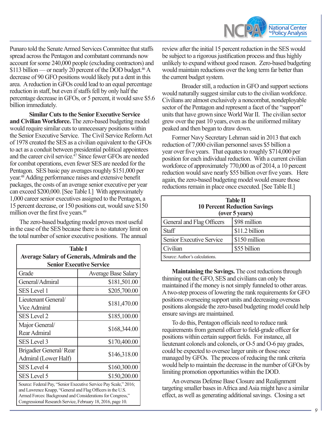

Punaro told the Senate Armed Services Committee that staffs spread across the Pentagon and combatant commands now account for some 240,000 people (excluding contractors) and  $$113$  billion — or nearly 20 percent of the DOD budget.<sup>46</sup> A decrease of 90 GFO positions would likely put a dent in this area. A reduction in GFOs could lead to an equal percentage reduction in staff, but even if staffs fell by only half the percentage decrease in GFOs, or 5 percent, it would save \$5.6 billion immediately.

**Similar Cuts to the Senior Executive Service and Civilian Workforce.** The zero-based budgeting model would require similar cuts to unnecessary positions within the Senior Executive Service. The Civil Service Reform Act of 1978 created the SES as a civilian equivalent to the GFOs to act as a conduit between presidential political appointees and the career civil service. $^{47}$  Since fewer GFOs are needed for combat operations, even fewer SES are needed for the Pentagon. SES basic pay averages roughly \$151,000 per year.48 Adding performance raises and extensive benefit packages, the costs of an average senior executive per year can exceed \$200,000. [See Table I.] With approximately 1,000 career senior executives assigned to the Pentagon, a 15 percent decrease, or 150 positions cut, would save \$150 million over the first five years.<sup>49</sup>

The zero-based budgeting model proves most useful in the case of the SES because there is no statutory limit on the total number of senior executive positions. The annual

| <b>Table I</b>                                                                                                                                                                               |                            |  |
|----------------------------------------------------------------------------------------------------------------------------------------------------------------------------------------------|----------------------------|--|
| <b>Average Salary of Generals, Admirals and the</b>                                                                                                                                          |                            |  |
| <b>Senior Executive Service</b>                                                                                                                                                              |                            |  |
| Grade                                                                                                                                                                                        | <b>Average Base Salary</b> |  |
| General/Admiral                                                                                                                                                                              | \$181,501.00               |  |
| <b>SES</b> Level 1                                                                                                                                                                           | \$205,700.00               |  |
| Lieutenant General/<br><b>Vice Admiral</b>                                                                                                                                                   | \$181,470.00               |  |
| <b>SES Level 2</b>                                                                                                                                                                           | \$185,100.00               |  |
| Major General/<br>Rear Admiral                                                                                                                                                               | \$168,344.00               |  |
| <b>SES</b> Level 3                                                                                                                                                                           | \$170,400.00               |  |
| Brigadier General/Rear<br>Admiral (Lower Half)                                                                                                                                               | \$146,318.00               |  |
| <b>SES Level 4</b>                                                                                                                                                                           | \$160,300.00               |  |
| <b>SES</b> Level 5                                                                                                                                                                           | \$150,200.00               |  |
| Source: Federal Pay, "Senior Executive Service Pay Scale," 2016;<br>and Lawrence Knapp, "General and Flag Officers in the U.S.<br>Armed Forces: Background and Considerations for Congress," |                            |  |

Congressional Research Service, February 18, 2016, page 10.

review after the initial 15 percent reduction in the SES would be subject to a rigorous justification process and thus highly unlikely to expand without good reason. Zero-based budgeting would maintain reductions over the long term far better than the current budget system.

Broader still, a reduction in GFO and support sections would naturally suggest similar cuts to the civilian workforce. Civilians are almost exclusively a noncombat, nondeployable sector of the Pentagon and represent a facet of the "support" units that have grown since World War II. The civilian sector grew over the past 10 years, even as the uniformed military peaked and then began to draw down.

Former Navy Secretary Lehman said in 2013 that each reduction of 7,000 civilian personnel saves \$5 billion a year over five years. That equates to roughly \$714,000 per position for each individual reduction. With a current civilian workforce of approximately 770,000 as of 2014, a 10 percent reduction would save nearly \$55 billion over five years. Here again, the zero-based budgeting model would ensure those reductions remain in place once executed. [See Table II.]

| <b>Table II</b><br><b>10 Percent Reduction Savings</b><br>(over 5 years) |                |
|--------------------------------------------------------------------------|----------------|
| General and Flag Officers                                                | \$98 million   |
| <b>Staff</b>                                                             | \$11.2 billion |
| Senior Executive Service                                                 | \$150 million  |
| Civilian                                                                 | \$55 billion   |
| Source: Author's calculations.                                           |                |

**Maintaining the Savings.** The cost reductions through thinning out the GFO, SES and civilians can only be maintained if the money is not simply funneled to other areas. A two-step process of lowering the rank requirements for GFO positions overseeing support units and decreasing overseas positions alongside the zero-based budgeting model could help ensure savings are maintained.

To do this, Pentagon officials need to reduce rank requirements from general officer to field-grade officer for positions within certain support fields. For instance, all lieutenant colonels and colonels, or O-5 and O-6 pay grades, could be expected to oversee larger units or those once managed by GFOs. The process of reducing the rank criteria would help to maintain the decrease in the number of GFOs by limiting promotion opportunities within the DOD.

An overseas Defense Base Closure and Realignment targeting smaller bases in Africa and Asia might have a similar effect, as well as generating additional savings. Closing a set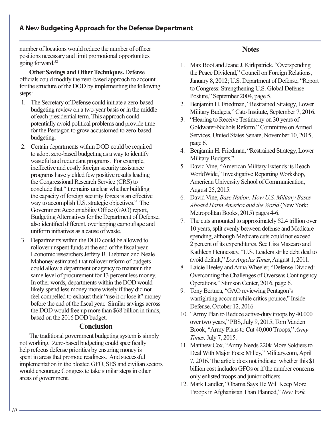number of locations would reduce the number of officer positions necessary and limit promotional opportunities going forward.52

**Other Savings and Other Techniques.** Defense officials could modify the zero-based approach to account for the structure of the DOD by implementing the following steps:

- 1. The Secretary of Defense could initiate a zero-based budgeting review on a two-year basis or in the middle of each presidential term. This approach could potentially avoid political problems and provide time for the Pentagon to grow accustomed to zero-based budgeting.
- 2. Certain departments within DOD could be required to adopt zero-based budgeting as a way to identify wasteful and redundant programs. For example, ineffective and costly foreign security assistance programs have yielded few positive results leading the Congressional Research Service (CRS) to conclude that "it remains unclear whether building the capacity of foreign security forces is an effective way to accomplish U.S. strategic objectives." The Government Accountability Office (GAO) report, Budgeting Alternatives for the Department of Defense, also identified different, overlapping camouflage and uniform initiatives as a cause of waste.
- 3. Departments within the DOD could be allowed to rollover unspent funds at the end of the fiscal year. Economic researchers Jeffery B. Liebman and Neale Mahoney estimated that rollover reform of budgets could allow a department or agency to maintain the same level of procurement for 13 percent less money. In other words, departments within the DOD would likely spend less money more wisely if they did not feel compelled to exhaust their "use it or lose it" money before the end of the fiscal year. Similar savings across the DOD would free up more than \$68 billion in funds, based on the 2016 DOD budget.

#### **Conclusion**

The traditional government budgeting system is simply not working. Zero-based budgeting could specifically help refocus defense priorities by ensuring money is spent in areas that promote readiness. And successful implementation in the bloated GFO, SES and civilian sectors would encourage Congress to take similar steps in other areas of government.

## **Notes**

- 1. Max Boot and Jeane J. Kirkpatrick, "Overspending the Peace Dividend," Council on Foreign Relations, January 8, 2012; U.S. Department of Defense, "Report to Congress: Strengthening U.S. Global Defense Posture," September 2004, page 5.
- 2. Benjamin H. Friedman, "Restrained Strategy, Lower Military Budgets," Cato Institute, September 7, 2016.
- 3. "Hearing to Receive Testimony on 30 years of Goldwater-Nichols Reform," Committee on Armed Services, United States Senate, November 10, 2015, page 6.
- 4. Benjamin H. Friedman, "Restrained Strategy, Lower Military Budgets."
- 5. David Vine, "American Military Extends its Reach WorldWide," Investigative Reporting Workshop, American University School of Communication, August 25, 2015.
- 6. David Vine, *Base Nation: How U.S. Military Bases Aboard Harm America and the World* (New York: Metropolitan Books, 2015) pages 4-6.
- 7. The cuts amounted to approximately \$2.4 trillion over 10 years, split evenly between defense and Medicare spending, although Medicare cuts could not exceed 2 percent of its expenditures. See Lisa Mascaro and Kathleen Hennessey, "U.S. Leaders strike debt deal to avoid default," *Los Angeles Times*, August 1, 2011.
- 8. Laicie Heeley and Anna Wheeler, "Defense Divided: Overcoming the Challenges of Overseas Contingency Operations," Stimson Center, 2016, page 6.
- 9. Tony Bertuca, "GAO reviewing Pentagon's warfighting account while critics pounce," Inside Defense, October 12, 2016.
- 10. "Army Plan to Reduce active-duty troops by 40,000 over two years," PBS, July 9, 2015; Tom Vanden Brook, "Army Plans to Cut 40,000 Troops," *Army Times,* July 7, 2015.
- 11. Matthew Cox, "Army Needs 220k More Soldiers to Deal With Major Foes: Milley," Military.com, April 7, 2016. The article does not indicate whether this \$1 billion cost includes GFOs or if the number concerns only enlisted troops and junior officers.
- 12. Mark Landler, "Obama Says He Will Keep More Troops in Afghanistan Than Planned," *New York*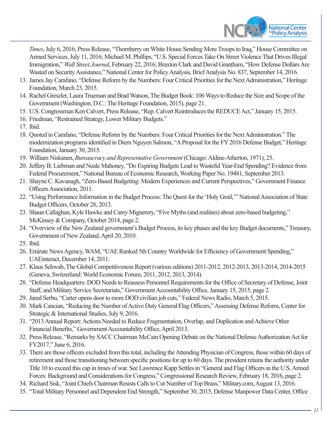

*Times*, July 6, 2016; Press Release, "Thornberry on White House Sending More Troops to Iraq," House Committee on Armed Services, July 11, 2016; Michael M. Phillips, "U.S. Special Forces Take On Street Violence That Drives Illegal Immigration," *Wall Street Journal*, February 22, 2016; Braxton Clark and David Grantham, "How Defense Dollars Are Wasted on Security Assistance," National Center for Policy Analysis, Brief Analysis No. 837, September 14, 2016.

- 13. James Jay Carafano, "Defense Reform by the Numbers: Four Critical Priorities for the Next Administration," Heritage Foundation, March 23, 2015.
- 14. Rachel Greszler, Laura Trueman and Brad Watson, The Budget Book: 106 Ways to Reduce the Size and Scope of the Government (Washington, D.C.: The Heritage Foundation, 2015), page 21.
- 15. U.S. Congressman Ken Calvert, Press Release, "Rep. Calvert Reintroduces the REDUCE Act," January 15, 2015.
- 16. Friedman, "Restrained Strategy, Lower Military Budgets."
- 17. Ibid.
- 18. Quoted in Carafano, "Defense Reform by the Numbers: Four Critical Priorities for the Next Administration." The modernization programs identified in Diem Nguyen Salmon, "A Proposal for the FY 2016 Defense Budget," Heritage Foundation, January 30, 2015.
- 19. William Niskanen, *Bureaucracy and Representative Government* (Chicago: Aldine-Atherton, 1971), 25.
- 20. Jeffery B. Liebman and Neale Mahoney, "Do Expiring Budgets Lead to Wasteful Year-End Spending? Evidence from Federal Procurement," National Bureau of Economic Research, Working Paper No. 19481, September 2013.
- 21. Shayne C. Kavanagh, "Zero-Based Budgeting: Modern Experiences and Current Perspectives," Government Finance Officers Association, 2011.
- 22. "Using Performance Information in the Budget Process: The Quest for the 'Holy Grail,'" National Association of State Budget Officers, October 28, 2013.
- 23. Shaun Callaghan, Kyle Hawke and Carey Mignerery, "Five Myths (and realities) about zero-based budgeting," McKinsey & Company, October 2014, page 2.
- 24. "Overview of the New Zealand government's Budget Process, its key phases and the key Budget documents," Treasury, Government of New Zealand, April 20, 2010.
- 25. Ibid.
- 26. Emirate News Agency, WAM, "UAE Ranked 5th Country Worldwide for Efficiency of Government Spending," UAEinteract, December 14, 2011.
- 27. Klaus Schwab, The Global Competitiveness Report (various editions) 2011-2012, 2012-2013, 2013-2014, 2014-2015 (Geneva, Switzerland: World Economic Forum, 2011, 2012, 2013, 2014).
- 28. "Defense Headquarters: DOD Needs to Reassess Personnel Requirements for the Office of Secretary of Defense, Joint Staff, and Military Service Secretariats," Government Accountability Office, January 15, 2015, page 2.
- 29. Jared Serbu, "Carter opens door to more DOD civilian job cuts," Federal News Radio, March 5, 2015.
- 30. Mark Cancian, "Reducing the Number of Active Duty General/Flag Officers," Assessing Defense Reform, Center for Strategic & International Studies, July 9, 2016.
- 31. "2013 Annual Report: Actions Needed to Reduce Fragmentation, Overlap, and Duplication and Achieve Other Financial Benefits," Government Accountability Office, April 2013.
- 32. Press Release, "Remarks by SACC Chairman McCain Opening Debate on the National Defense Authorization Act for FY2017," June 6, 2016.
- 33. There are those officers excluded from this total, including the Attending Physician of Congress, those within 60 days of retirement and those transitioning between specific positions for up to 60 days. The president retains the authority under Title 10 to exceed this cap in times of war. See Lawrence Kapp Settles in "General and Flag Officers in the U.S. Armed Forces: Background and Considerations for Congress," Congressional Research Review, February 18, 2016, page 2.
- 34. Richard Sisk, "Joint Chiefs Chairman Resists Calls to Cut Number of Top Brass," Military.com, August 13, 2016.
- 35. "Total Military Personnel and Dependent End Strength," September 30, 2015, Defense Manpower Data Center, Office